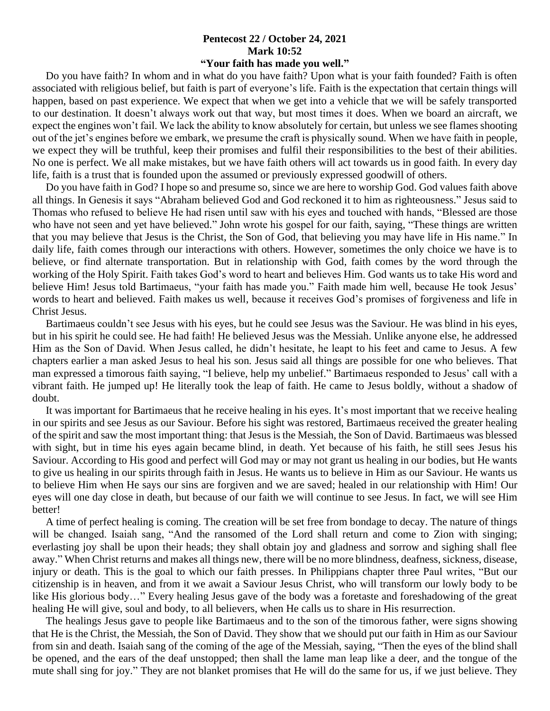## **Pentecost 22 / October 24, 2021 Mark 10:52**

## **"Your faith has made you well."**

 Do you have faith? In whom and in what do you have faith? Upon what is your faith founded? Faith is often associated with religious belief, but faith is part of everyone's life. Faith is the expectation that certain things will happen, based on past experience. We expect that when we get into a vehicle that we will be safely transported to our destination. It doesn't always work out that way, but most times it does. When we board an aircraft, we expect the engines won't fail. We lack the ability to know absolutely for certain, but unless we see flames shooting out of the jet's engines before we embark, we presume the craft is physically sound. When we have faith in people, we expect they will be truthful, keep their promises and fulfil their responsibilities to the best of their abilities. No one is perfect. We all make mistakes, but we have faith others will act towards us in good faith. In every day life, faith is a trust that is founded upon the assumed or previously expressed goodwill of others.

 Do you have faith in God? I hope so and presume so, since we are here to worship God. God values faith above all things. In Genesis it says "Abraham believed God and God reckoned it to him as righteousness." Jesus said to Thomas who refused to believe He had risen until saw with his eyes and touched with hands, "Blessed are those who have not seen and yet have believed." John wrote his gospel for our faith, saying, "These things are written that you may believe that Jesus is the Christ, the Son of God, that believing you may have life in His name." In daily life, faith comes through our interactions with others. However, sometimes the only choice we have is to believe, or find alternate transportation. But in relationship with God, faith comes by the word through the working of the Holy Spirit. Faith takes God's word to heart and believes Him. God wants us to take His word and believe Him! Jesus told Bartimaeus, "your faith has made you." Faith made him well, because He took Jesus' words to heart and believed. Faith makes us well, because it receives God's promises of forgiveness and life in Christ Jesus.

 Bartimaeus couldn't see Jesus with his eyes, but he could see Jesus was the Saviour. He was blind in his eyes, but in his spirit he could see. He had faith! He believed Jesus was the Messiah. Unlike anyone else, he addressed Him as the Son of David. When Jesus called, he didn't hesitate, he leapt to his feet and came to Jesus. A few chapters earlier a man asked Jesus to heal his son. Jesus said all things are possible for one who believes. That man expressed a timorous faith saying, "I believe, help my unbelief." Bartimaeus responded to Jesus' call with a vibrant faith. He jumped up! He literally took the leap of faith. He came to Jesus boldly, without a shadow of doubt.

 It was important for Bartimaeus that he receive healing in his eyes. It's most important that we receive healing in our spirits and see Jesus as our Saviour. Before his sight was restored, Bartimaeus received the greater healing of the spirit and saw the most important thing: that Jesus is the Messiah, the Son of David. Bartimaeus was blessed with sight, but in time his eyes again became blind, in death. Yet because of his faith, he still sees Jesus his Saviour. According to His good and perfect will God may or may not grant us healing in our bodies, but He wants to give us healing in our spirits through faith in Jesus. He wants us to believe in Him as our Saviour. He wants us to believe Him when He says our sins are forgiven and we are saved; healed in our relationship with Him! Our eyes will one day close in death, but because of our faith we will continue to see Jesus. In fact, we will see Him better!

 A time of perfect healing is coming. The creation will be set free from bondage to decay. The nature of things will be changed. Isaiah sang, "And the ransomed of the Lord shall return and come to Zion with singing; everlasting joy shall be upon their heads; they shall obtain joy and gladness and sorrow and sighing shall flee away." When Christ returns and makes all things new, there will be no more blindness, deafness, sickness, disease, injury or death. This is the goal to which our faith presses. In Philippians chapter three Paul writes, "But our citizenship is in heaven, and from it we await a Saviour Jesus Christ, who will transform our lowly body to be like His glorious body…" Every healing Jesus gave of the body was a foretaste and foreshadowing of the great healing He will give, soul and body, to all believers, when He calls us to share in His resurrection.

 The healings Jesus gave to people like Bartimaeus and to the son of the timorous father, were signs showing that He is the Christ, the Messiah, the Son of David. They show that we should put our faith in Him as our Saviour from sin and death. Isaiah sang of the coming of the age of the Messiah, saying, "Then the eyes of the blind shall be opened, and the ears of the deaf unstopped; then shall the lame man leap like a deer, and the tongue of the mute shall sing for joy." They are not blanket promises that He will do the same for us, if we just believe. They